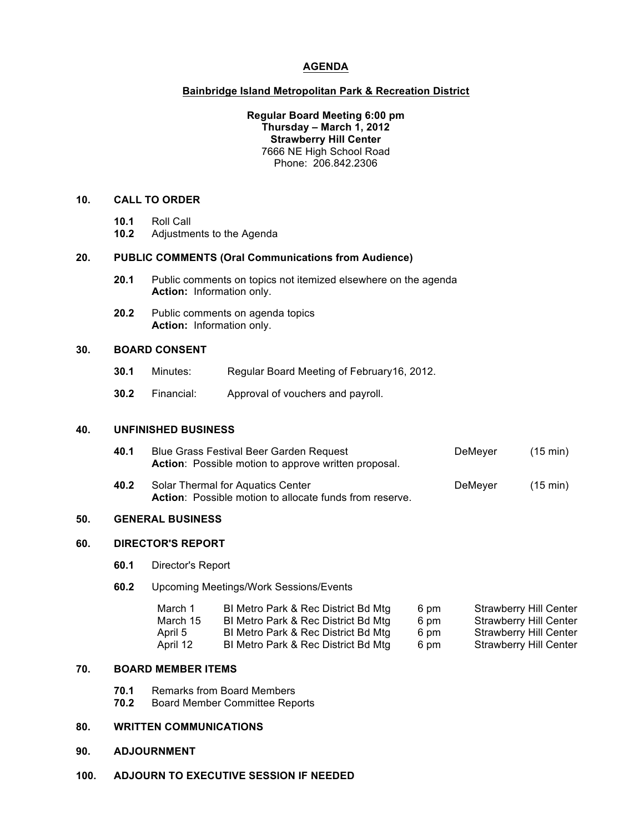## **AGENDA**

## **Bainbridge Island Metropolitan Park & Recreation District**

## **Regular Board Meeting 6:00 pm Thursday – March 1, 2012 Strawberry Hill Center** 7666 NE High School Road Phone: 206.842.2306

#### **10. CALL TO ORDER**

- **10.1** Roll Call
- **10.2** Adjustments to the Agenda

#### **20. PUBLIC COMMENTS (Oral Communications from Audience)**

- **20.1** Public comments on topics not itemized elsewhere on the agenda **Action:** Information only.
- **20.2** Public comments on agenda topics **Action:** Information only.

## **30. BOARD CONSENT**

- **30.1** Minutes: Regular Board Meeting of February16, 2012.
- **30.2** Financial: Approval of vouchers and payroll.

## **40. UNFINISHED BUSINESS**

| 40.1 | Blue Grass Festival Beer Garden Request<br><b>Action:</b> Possible motion to approve written proposal. | DeMeyer | $(15 \text{ min})$ |
|------|--------------------------------------------------------------------------------------------------------|---------|--------------------|
| 40.2 | Solar Thermal for Aquatics Center<br><b>Action:</b> Possible motion to allocate funds from reserve.    | DeMeyer | $(15 \text{ min})$ |

#### **50. GENERAL BUSINESS**

## **60. DIRECTOR'S REPORT**

- **60.1** Director's Report
- **60.2** Upcoming Meetings/Work Sessions/Events

| March 1  | BI Metro Park & Rec District Bd Mtg | 6 pm | Strawberry Hill Center        |
|----------|-------------------------------------|------|-------------------------------|
| March 15 | BI Metro Park & Rec District Bd Mtg | 6 pm | Strawberry Hill Center        |
| April 5  | BI Metro Park & Rec District Bd Mtg | 6 pm | <b>Strawberry Hill Center</b> |
| April 12 | BI Metro Park & Rec District Bd Mtg | 6 pm | <b>Strawberry Hill Center</b> |

#### **70. BOARD MEMBER ITEMS**

- **70.1** Remarks from Board Members
- **70.2** Board Member Committee Reports

## **80. WRITTEN COMMUNICATIONS**

#### **90. ADJOURNMENT**

**100. ADJOURN TO EXECUTIVE SESSION IF NEEDED**